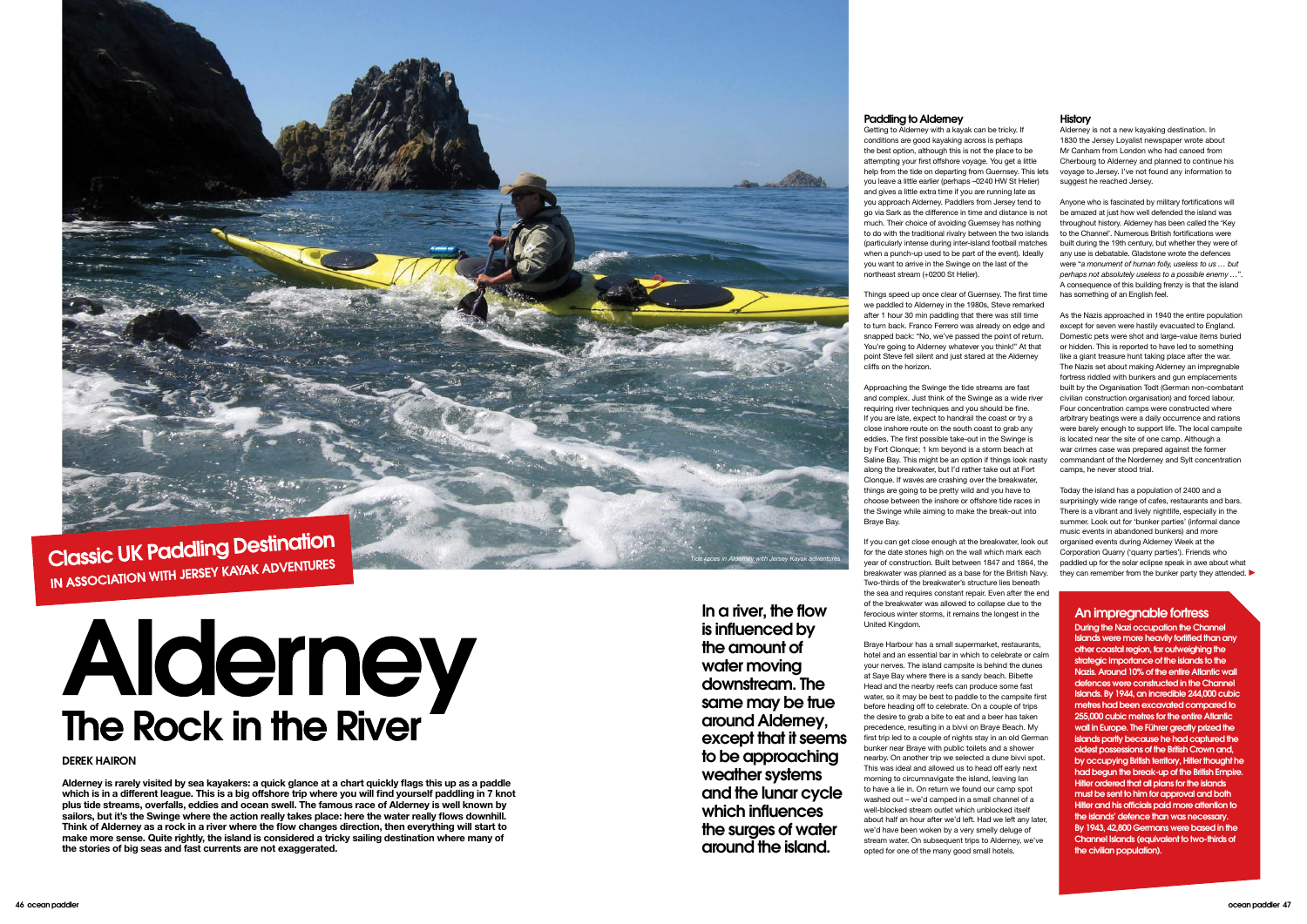

IN ASSOCIATION WITH JERSEY KAYAK ADVENTURES

# Alderney<br>The Rock in the River

**Alderney is rarely visited by sea kayakers: a quick glance at a chart quickly flags this up as a paddle which is in a different league. This is a big offshore trip where you will find yourself paddling in 7 knot plus tide streams, overfalls, eddies and ocean swell. The famous race of Alderney is well known by sailors, but it's the Swinge where the action really takes place: here the water really flows downhill. Think of Alderney as a rock in a river where the flow changes direction, then everything will start to make more sense. Quite rightly, the island is considered a tricky sailing destination where many of the stories of big seas and fast currents are not exaggerated.**

During the Nazi occupation the Channel Islands were more heavily fortified than any other coastal region, far outweighing the strategic importance of the islands to the Nazis. Around 10% of the entire Atlantic wall defences were constructed in the Channel Islands. By 1944, an incredible 244,000 cubic metres had been excavated compared to 255,000 cubic metres for the entire Atlantic wall in Europe. The Führer greatly prized the islands partly because he had captured the oldest possessions of the British Crown and, by occupying British territory, Hitler thought he had begun the break-up of the British Empire. Hitler ordered that all plans for the islands must be sent to him for approval and both Hitler and his officials paid more attention to the islands' defence than was necessary. By 1943, 42,800 Germans were based in the Channel Islands (equivalent to two-thirds of the civilian population).

# An impregnable fortress

Alderney is not a new kayaking destination. In 1830 the Jersey Loyalist newspaper wrote about Mr Canham from London who had canoed from Cherbourg to Alderney and planned to continue his voyage to Jersey. I've not found any information to suggest he reached Jersey.

Today the island has a population of 2400 and a surprisingly wide range of cafes, restaurants and bars. There is a vibrant and lively nightlife, especially in the summer. Look out for 'bunker parties' (informal dance music events in abandoned bunkers) and more organised events during Alderney Week at the Corporation Quarry ('quarry parties'). Friends who paddled up for the solar eclipse speak in awe about what they can remember from the bunker party they attended.

Anyone who is fascinated by military fortifications will be amazed at just how well defended the island was throughout history. Alderney has been called the 'Key to the Channel'. Numerous British fortifications were built during the 19th century, but whether they were of any use is debatable. Gladstone wrote the defences were "*a monument of human folly, useless to us … but perhaps not absolutely useless to a possible enemy …*". A consequence of this building frenzy is that the island has something of an English feel.

As the Nazis approached in 1940 the entire population except for seven were hastily evacuated to England. Domestic pets were shot and large-value items buried or hidden. This is reported to have led to something like a giant treasure hunt taking place after the war. The Nazis set about making Alderney an impregnable fortress riddled with bunkers and gun emplacements built by the Organisation Todt (German non-combatant civilian construction organisation) and forced labour. Four concentration camps were constructed where arbitrary beatings were a daily occurrence and rations were barely enough to support life. The local campsite is located near the site of one camp. Although a war crimes case was prepared against the former commandant of the Norderney and Sylt concentration camps, he never stood trial.

# Paddling to Alderney

Getting to Alderney with a kayak can be tricky. If conditions are good kayaking across is perhaps the best option, although this is not the place to be attempting your first offshore voyage. You get a little help from the tide on departing from Guernsey. This lets you leave a little earlier (perhaps –0240 HW St Helier) and gives a little extra time if you are running late as you approach Alderney. Paddlers from Jersey tend to go via Sark as the difference in time and distance is not much. Their choice of avoiding Guernsey has nothing to do with the traditional rivalry between the two islands (particularly intense during inter-island football matches when a punch-up used to be part of the event). Ideally you want to arrive in the Swinge on the last of the northeast stream (+0200 St Helier).

Things speed up once clear of Guernsey. The first time we paddled to Alderney in the 1980s, Steve remarked after 1 hour 30 min paddling that there was still time to turn back. Franco Ferrero was already on edge and snapped back: "No, we've passed the point of return. You're going to Alderney whatever you think!" At that point Steve fell silent and just stared at the Alderney cliffs on the horizon.

Approaching the Swinge the tide streams are fast and complex. Just think of the Swinge as a wide river requiring river techniques and you should be fine. If you are late, expect to handrail the coast or try a close inshore route on the south coast to grab any eddies. The first possible take-out in the Swinge is by Fort Clonque; 1 km beyond is a storm beach at Saline Bay. This might be an option if things look nasty along the breakwater, but I'd rather take out at Fort Clonque. If waves are crashing over the breakwater things are going to be pretty wild and you have to choose between the inshore or offshore tide races in the Swinge while aiming to make the break-out into Braye Bay.

If you can get close enough at the breakwater, look out for the date stones high on the wall which mark each year of construction. Built between 1847 and 1864, the breakwater was planned as a base for the British Navy. Two-thirds of the breakwater's structure lies beneath the sea and requires constant repair. Even after the end of the breakwater was allowed to collapse due to the ferocious winter storms, it remains the longest in the United Kingdom.

Braye Harbour has a small supermarket, restaurants, hotel and an essential bar in which to celebrate or calm your nerves. The island campsite is behind the dunes at Saye Bay where there is a sandy beach. Bibette Head and the nearby reefs can produce some fast water, so it may be best to paddle to the campsite first before heading off to celebrate. On a couple of trips the desire to grab a bite to eat and a beer has taken precedence, resulting in a bivvi on Braye Beach. My first trip led to a couple of nights stay in an old German bunker near Braye with public toilets and a shower nearby. On another trip we selected a dune bivvi spot. This was ideal and allowed us to head off early next morning to circumnavigate the island, leaving Ian to have a lie in. On return we found our camp spot washed out – we'd camped in a small channel of a well-blocked stream outlet which unblocked itself about half an hour after we'd left. Had we left any later, we'd have been woken by a very smelly deluge of stream water. On subsequent trips to Alderney, we've opted for one of the many good small hotels.

# **History**

Derek Hairon

In a river, the flow is influenced by the amount of water moving downstream. The same may be true around Alderney, except that it seems to be approaching weather systems and the lunar cycle which influences the surges of water around the island.

*Tide races in Alderney with Jersey Kayak adventures*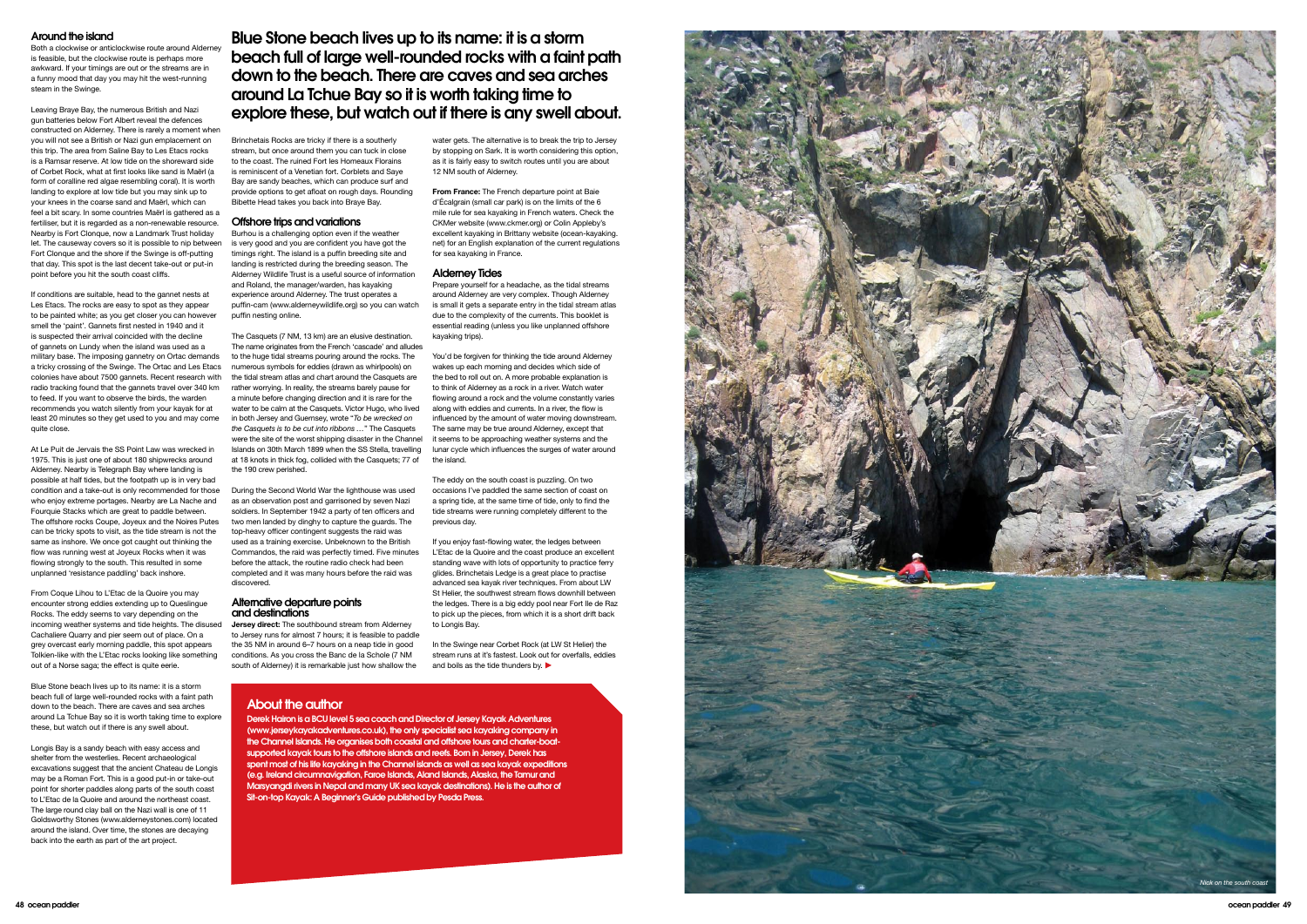water gets. The alternative is to break the trip to Jersey by stopping on Sark. It is worth considering this option, as it is fairly easy to switch routes until you are about 12 NM south of Alderney.

**From France:** The French departure point at Baie d'Écalgrain (small car park) is on the limits of the 6 mile rule for sea kayaking in French waters. Check the CKMer website (www.ckmer.org) or Colin Appleby's excellent kayaking in Brittany website (ocean-kayaking. net) for an English explanation of the current regulations for sea kayaking in France.

# Alderney Tides

Prepare yourself for a headache, as the tidal streams around Alderney are very complex. Though Alderney is small it gets a separate entry in the tidal stream atlas due to the complexity of the currents. This booklet is essential reading (unless you like unplanned offshore kayaking trips).

In the Swinge near Corbet Rock (at LW St Helier) the stream runs at it's fastest. Look out for overfalls, eddies and boils as the tide thunders by.

You'd be forgiven for thinking the tide around Alderney wakes up each morning and decides which side of the bed to roll out on. A more probable explanation is to think of Alderney as a rock in a river. Watch water flowing around a rock and the volume constantly varies along with eddies and currents. In a river, the flow is influenced by the amount of water moving downstream. The same may be true around Alderney, except that it seems to be approaching weather systems and the lunar cycle which influences the surges of water around the island.

The eddy on the south coast is puzzling. On two occasions I've paddled the same section of coast on a spring tide, at the same time of tide, only to find the tide streams were running completely different to the previous day.

If you enjoy fast-flowing water, the ledges between L'Etac de la Quoire and the coast produce an excellent standing wave with lots of opportunity to practice ferry glides. Brinchetais Ledge is a great place to practise advanced sea kayak river techniques. From about LW St Helier, the southwest stream flows downhill between the ledges. There is a big eddy pool near Fort Ile de Raz to pick up the pieces, from which it is a short drift back to Longis Bay.

Brinchetais Rocks are tricky if there is a southerly stream, but once around them you can tuck in close to the coast. The ruined Fort les Homeaux Florains is reminiscent of a Venetian fort. Corblets and Saye Bay are sandy beaches, which can produce surf and provide options to get afloat on rough days. Rounding Bibette Head takes you back into Braye Bay.

# Offshore trips and variations

Burhou is a challenging option even if the weather is very good and you are confident you have got the timings right. The island is a puffin breeding site and landing is restricted during the breeding season. The Alderney Wildlife Trust is a useful source of information and Roland, the manager/warden, has kayaking experience around Alderney. The trust operates a puffin-cam (www.alderneywildlife.org) so you can watch puffin nesting online.

a tricky crossing of the Swinge. The Ortac and Les Etacs numerous symbols for eddies (drawn as whirlpools) on If conditions are suitable, head to the gannet nests at Les Etacs. The rocks are easy to spot as they appear to be painted white; as you get closer you can however smell the 'paint'. Gannets first nested in 1940 and it is suspected their arrival coincided with the decline of gannets on Lundy when the island was used as a military base. The imposing gannetry on Ortac demands colonies have about 7500 gannets. Recent research with radio tracking found that the gannets travel over 340 km to feed. If you want to observe the birds, the warden recommends you watch silently from your kayak for at least 20 minutes so they get used to you and may come quite close.

The Casquets (7 NM, 13 km) are an elusive destination. The name originates from the French 'cascade' and alludes to the huge tidal streams pouring around the rocks. The the tidal stream atlas and chart around the Casquets are rather worrying. In reality, the streams barely pause for a minute before changing direction and it is rare for the water to be calm at the Casquets. Victor Hugo, who lived in both Jersey and Guernsey, wrote "*To be wrecked on the Casquets is to be cut into ribbons …*" The Casquets were the site of the worst shipping disaster in the Channel Islands on 30th March 1899 when the SS Stella, travelling at 18 knots in thick fog, collided with the Casquets; 77 of the 190 crew perished.

condition and a take-out is only recommended for those During the Second World War the lighthouse was used At Le Puit de Jervais the SS Point Law was wrecked in 1975. This is just one of about 180 shipwrecks around Alderney. Nearby is Telegraph Bay where landing is possible at half tides, but the footpath up is in very bad who enjoy extreme portages. Nearby are La Nache and Fourquie Stacks which are great to paddle between. The offshore rocks Coupe, Joyeux and the Noires Putes can be tricky spots to visit, as the tide stream is not the same as inshore. We once got caught out thinking the flow was running west at Joyeux Rocks when it was flowing strongly to the south. This resulted in some unplanned 'resistance paddling' back inshore.

as an observation post and garrisoned by seven Nazi soldiers. In September 1942 a party of ten officers and two men landed by dinghy to capture the guards. The top-heavy officer contingent suggests the raid was used as a training exercise. Unbeknown to the British Commandos, the raid was perfectly timed. Five minutes before the attack, the routine radio check had been completed and it was many hours before the raid was discovered.

## Alternative departure points and destinations

**Jersey direct:** The southbound stream from Alderney to Jersey runs for almost 7 hours; it is feasible to paddle the 35 NM in around 6–7 hours on a neap tide in good conditions. As you cross the Banc de la Schole (7 NM south of Alderney) it is remarkable just how shallow the

# Around the island

Both a clockwise or anticlockwise route around Aldern is feasible, but the clockwise route is perhaps more awkward. If your timings are out or the streams are in a funny mood that day you may hit the west-running steam in the Swinge.

Leaving Braye Bay, the numerous British and Nazi gun batteries below Fort Albert reveal the defences constructed on Alderney. There is rarely a moment when you will not see a British or Nazi gun emplacement on this trip. The area from Saline Bay to Les Etacs rocks is a Ramsar reserve. At low tide on the shoreward side of Corbet Rock, what at first looks like sand is Maërl (a form of coralline red algae resembling coral). It is worth landing to explore at low tide but you may sink up to your knees in the coarse sand and Maërl, which can feel a bit scary. In some countries Maërl is gathered as a fertiliser, but it is regarded as a non-renewable resource. Nearby is Fort Clonque, now a Landmark Trust holiday let. The causeway covers so it is possible to nip between Fort Clonque and the shore if the Swinge is off-putting that day. This spot is the last decent take-out or put-in point before you hit the south coast cliffs.

From Coque Lihou to L'Etac de la Quoire you may encounter strong eddies extending up to Queslingue Rocks. The eddy seems to vary depending on the incoming weather systems and tide heights. The disused Cachaliere Quarry and pier seem out of place. On a grey overcast early morning paddle, this spot appears Tolkien-like with the L'Etac rocks looking like something out of a Norse saga; the effect is quite eerie.

Blue Stone beach lives up to its name: it is a storm beach full of large well-rounded rocks with a faint path down to the beach. There are caves and sea arches around La Tchue Bay so it is worth taking time to explore these, but watch out if there is any swell about.

Longis Bay is a sandy beach with easy access and shelter from the westerlies. Recent archaeological excavations suggest that the ancient Chateau de Longis may be a Roman Fort. This is a good put-in or take-out point for shorter paddles along parts of the south coast to L'Etac de la Quoire and around the northeast coast. The large round clay ball on the Nazi wall is one of 11 Goldsworthy Stones (www.alderneystones.com) located around the island. Over time, the stones are decaying back into the earth as part of the art project.

# About the author

Derek Hairon is a BCU level 5 sea coach and Director of Jersey Kayak Adventures (www.jerseykayakadventures.co.uk), the only specialist sea kayaking company in the Channel Islands. He organises both coastal and offshore tours and charter-boatsupported kayak tours to the offshore islands and reefs. Born in Jersey, Derek has spent most of his life kayaking in the Channel islands as well as sea kayak expeditions (e.g. Ireland circumnavigation, Faroe Islands, Aland Islands, Alaska, the Tamur and Marsyangdi rivers in Nepal and many U K sea kayak destinations). He is the author of Sit-on-top Kayak: A Beginner's Guide published by Pesda Press.

# Blue Stone beach lives up to its name: it is a storm beach full of large well-rounded rocks with a faint path down to the beach. There are caves and sea arches around La Tchue Bay so it is worth taking time to explore these, but watch out if there is any swell about.